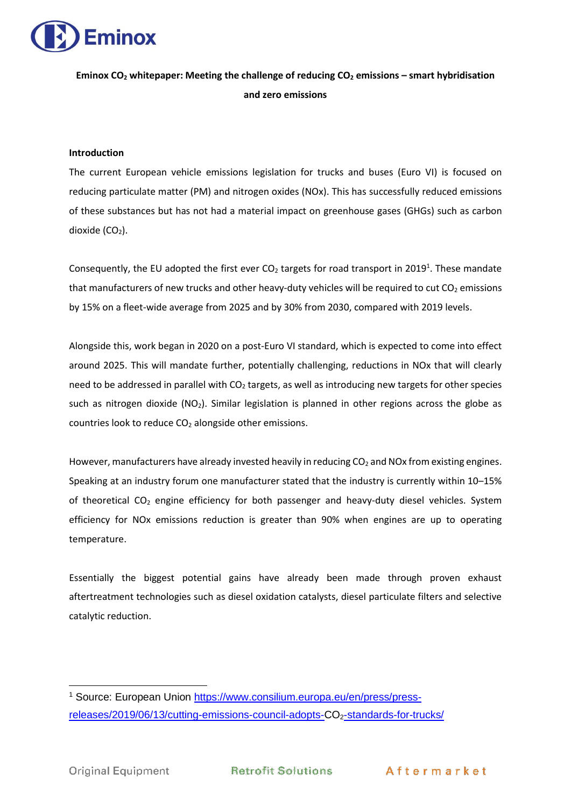

# **Eminox CO<sup>2</sup> whitepaper: Meeting the challenge of reducing CO<sup>2</sup> emissions – smart hybridisation and zero emissions**

## **Introduction**

The current European vehicle emissions legislation for trucks and buses (Euro VI) is focused on reducing particulate matter (PM) and nitrogen oxides (NOx). This has successfully reduced emissions of these substances but has not had a material impact on greenhouse gases (GHGs) such as carbon dioxide  $(CO<sub>2</sub>)$ .

Consequently, the EU adopted the first ever  $CO<sub>2</sub>$  targets for road transport in 2019<sup>1</sup>. These mandate that manufacturers of new trucks and other heavy-duty vehicles will be required to cut  $CO<sub>2</sub>$  emissions by 15% on a fleet-wide average from 2025 and by 30% from 2030, compared with 2019 levels.

Alongside this, work began in 2020 on a post-Euro VI standard, which is expected to come into effect around 2025. This will mandate further, potentially challenging, reductions in NOx that will clearly need to be addressed in parallel with  $CO<sub>2</sub>$  targets, as well as introducing new targets for other species such as nitrogen dioxide (NO<sub>2</sub>). Similar legislation is planned in other regions across the globe as countries look to reduce  $CO<sub>2</sub>$  alongside other emissions.

However, manufacturers have already invested heavily in reducing CO<sub>2</sub> and NOx from existing engines. Speaking at an industry forum one manufacturer stated that the industry is currently within 10–15% of theoretical  $CO<sub>2</sub>$  engine efficiency for both passenger and heavy-duty diesel vehicles. System efficiency for NOx emissions reduction is greater than 90% when engines are up to operating temperature.

Essentially the biggest potential gains have already been made through proven exhaust aftertreatment technologies such as diesel oxidation catalysts, diesel particulate filters and selective catalytic reduction.

<sup>1</sup> Source: European Union [https://www.consilium.europa.eu/en/press/press](https://www.consilium.europa.eu/en/press/press-releases/2019/06/13/cutting-emissions-council-adopts-co2-standards-for-trucks/)[releases/2019/06/13/cutting-emissions-council-adopts-CO](https://www.consilium.europa.eu/en/press/press-releases/2019/06/13/cutting-emissions-council-adopts-co2-standards-for-trucks/)<sub>2</sub>-standards-for-trucks/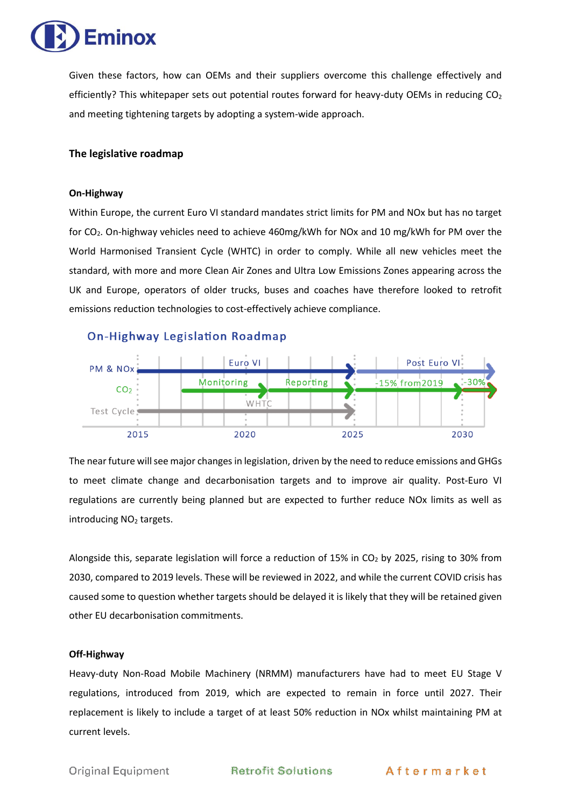

Given these factors, how can OEMs and their suppliers overcome this challenge effectively and efficiently? This whitepaper sets out potential routes forward for heavy-duty OEMs in reducing  $CO<sub>2</sub>$ and meeting tightening targets by adopting a system-wide approach.

## **The legislative roadmap**

#### **On-Highway**

Within Europe, the current Euro VI standard mandates strict limits for PM and NOx but has no target for CO2. On-highway vehicles need to achieve 460mg/kWh for NOx and 10 mg/kWh for PM over the World Harmonised Transient Cycle (WHTC) in order to comply. While all new vehicles meet the standard, with more and more Clean Air Zones and Ultra Low Emissions Zones appearing across the UK and Europe, operators of older trucks, buses and coaches have therefore looked to retrofit emissions reduction technologies to cost-effectively achieve compliance.

## **On-Highway Legislation Roadmap**



The near future will see major changes in legislation, driven by the need to reduce emissions and GHGs to meet climate change and decarbonisation targets and to improve air quality. Post-Euro VI regulations are currently being planned but are expected to further reduce NOx limits as well as introducing NO<sub>2</sub> targets.

Alongside this, separate legislation will force a reduction of 15% in CO<sub>2</sub> by 2025, rising to 30% from 2030, compared to 2019 levels. These will be reviewed in 2022, and while the current COVID crisis has caused some to question whether targets should be delayed it is likely that they will be retained given other EU decarbonisation commitments.

## **Off-Highway**

Heavy-duty Non-Road Mobile Machinery (NRMM) manufacturers have had to meet EU Stage V regulations, introduced from 2019, which are expected to remain in force until 2027. Their replacement is likely to include a target of at least 50% reduction in NOx whilst maintaining PM at current levels.

Original Equipment

## **Retrofit Solutions**

Aftermarket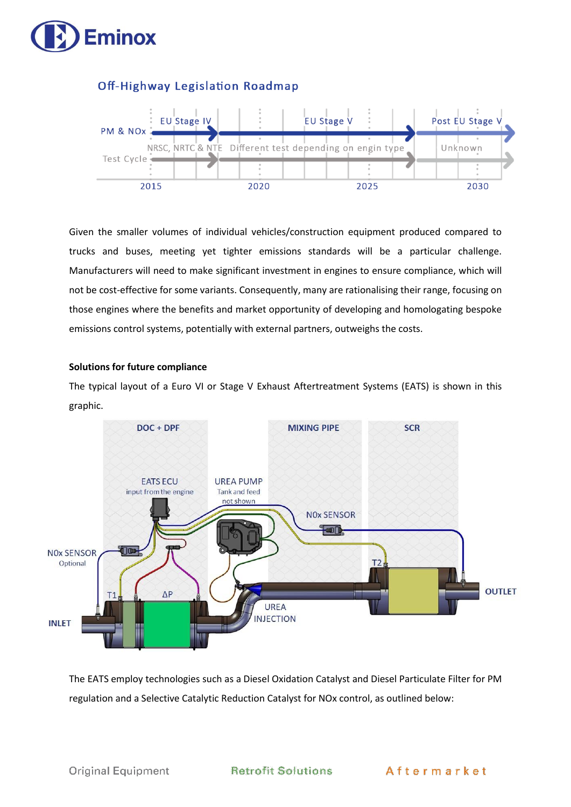

## **Off-Highway Legislation Roadmap**



Given the smaller volumes of individual vehicles/construction equipment produced compared to trucks and buses, meeting yet tighter emissions standards will be a particular challenge. Manufacturers will need to make significant investment in engines to ensure compliance, which will not be cost-effective for some variants. Consequently, many are rationalising their range, focusing on those engines where the benefits and market opportunity of developing and homologating bespoke emissions control systems, potentially with external partners, outweighs the costs.

## **Solutions for future compliance**

The typical layout of a Euro VI or Stage V Exhaust Aftertreatment Systems (EATS) is shown in this graphic.



The EATS employ technologies such as a Diesel Oxidation Catalyst and Diesel Particulate Filter for PM regulation and a Selective Catalytic Reduction Catalyst for NOx control, as outlined below:

**Original Equipment** 

**Retrofit Solutions** 

Aftermarket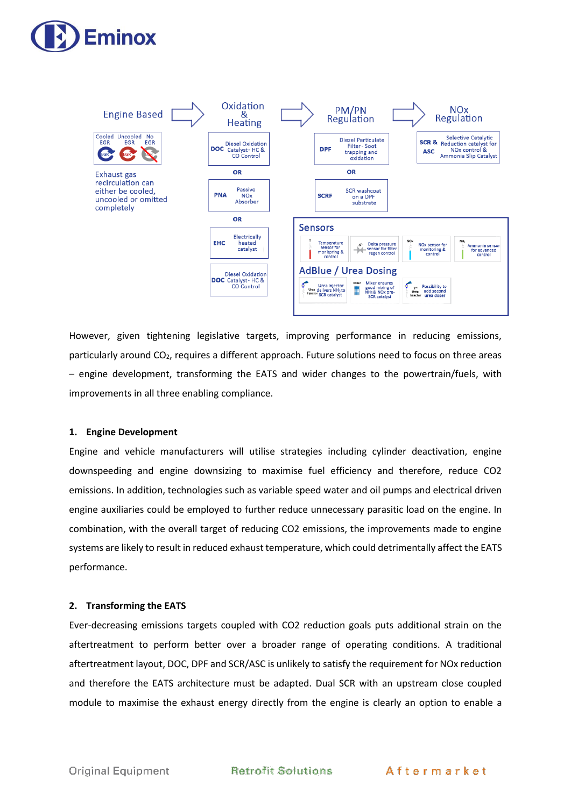



However, given tightening legislative targets, improving performance in reducing emissions, particularly around CO<sub>2</sub>, requires a different approach. Future solutions need to focus on three areas – engine development, transforming the EATS and wider changes to the powertrain/fuels, with improvements in all three enabling compliance.

## **1. Engine Development**

Engine and vehicle manufacturers will utilise strategies including cylinder deactivation, engine downspeeding and engine downsizing to maximise fuel efficiency and therefore, reduce CO2 emissions. In addition, technologies such as variable speed water and oil pumps and electrical driven engine auxiliaries could be employed to further reduce unnecessary parasitic load on the engine. In combination, with the overall target of reducing CO2 emissions, the improvements made to engine systems are likely to result in reduced exhaust temperature, which could detrimentally affect the EATS performance.

## **2. Transforming the EATS**

Ever-decreasing emissions targets coupled with CO2 reduction goals puts additional strain on the aftertreatment to perform better over a broader range of operating conditions. A traditional aftertreatment layout, DOC, DPF and SCR/ASC is unlikely to satisfy the requirement for NOx reduction and therefore the EATS architecture must be adapted. Dual SCR with an upstream close coupled module to maximise the exhaust energy directly from the engine is clearly an option to enable a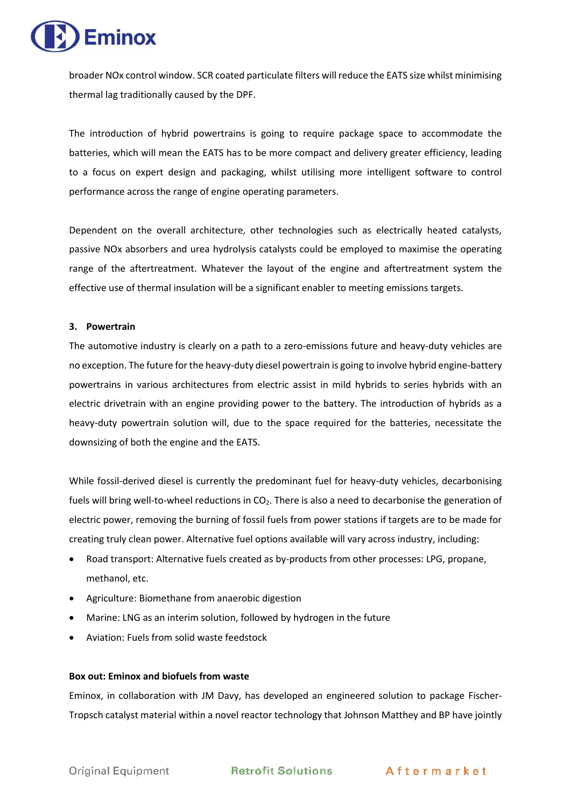

broader NOx control window. SCR coated particulate filters will reduce the EATS size whilst minimising thermal lag traditionally caused by the DPF.

The introduction of hybrid powertrains is going to require package space to accommodate the batteries, which will mean the EATS has to be more compact and delivery greater efficiency, leading to a focus on expert design and packaging, whilst utilising more intelligent software to control performance across the range of engine operating parameters.

Dependent on the overall architecture, other technologies such as electrically heated catalysts, passive NOx absorbers and urea hydrolysis catalysts could be employed to maximise the operating range of the aftertreatment. Whatever the layout of the engine and aftertreatment system the effective use of thermal insulation will be a significant enabler to meeting emissions targets.

## **3. Powertrain**

The automotive industry is clearly on a path to a zero-emissions future and heavy-duty vehicles are no exception. The future for the heavy-duty diesel powertrain is going to involve hybrid engine-battery powertrains in various architectures from electric assist in mild hybrids to series hybrids with an electric drivetrain with an engine providing power to the battery. The introduction of hybrids as a heavy-duty powertrain solution will, due to the space required for the batteries, necessitate the downsizing of both the engine and the EATS.

While fossil-derived diesel is currently the predominant fuel for heavy-duty vehicles, decarbonising fuels will bring well-to-wheel reductions in CO<sub>2</sub>. There is also a need to decarbonise the generation of electric power, removing the burning of fossil fuels from power stations if targets are to be made for creating truly clean power. Alternative fuel options available will vary across industry, including:

- Road transport: Alternative fuels created as by-products from other processes: LPG, propane, methanol, etc.
- Agriculture: Biomethane from anaerobic digestion
- Marine: LNG as an interim solution, followed by hydrogen in the future
- Aviation: Fuels from solid waste feedstock

## **Box out: Eminox and biofuels from waste**

Eminox, in collaboration with JM Davy, has developed an engineered solution to package Fischer-Tropsch catalyst material within a novel reactor technology that Johnson Matthey and BP have jointly

## Retrofit Solutions Aftermarket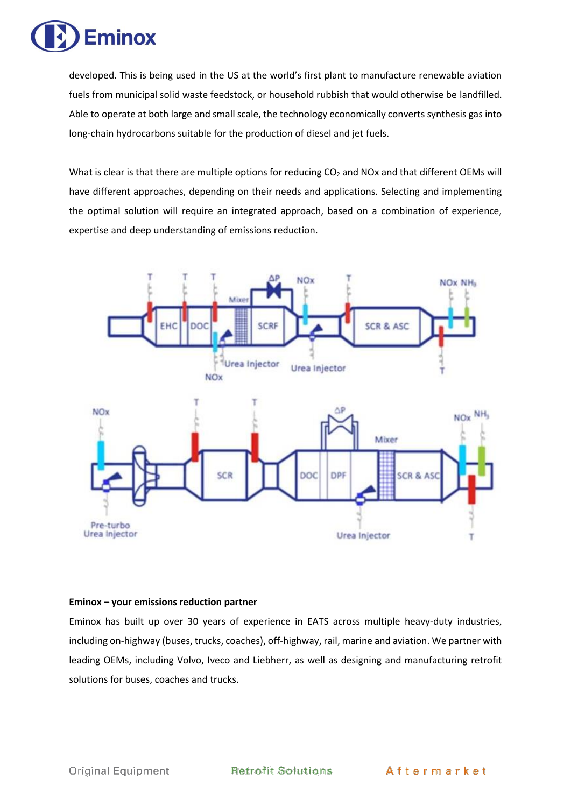

developed. This is being used in the US at the world's first plant to manufacture renewable aviation fuels from municipal solid waste feedstock, or household rubbish that would otherwise be landfilled. Able to operate at both large and small scale, the technology economically converts synthesis gas into long-chain hydrocarbons suitable for the production of diesel and jet fuels.

What is clear is that there are multiple options for reducing CO<sub>2</sub> and NOx and that different OEMs will have different approaches, depending on their needs and applications. Selecting and implementing the optimal solution will require an integrated approach, based on a combination of experience, expertise and deep understanding of emissions reduction.



## **Eminox – your emissions reduction partner**

Eminox has built up over 30 years of experience in EATS across multiple heavy-duty industries, including on-highway (buses, trucks, coaches), off-highway, rail, marine and aviation. We partner with leading OEMs, including Volvo, Iveco and Liebherr, as well as designing and manufacturing retrofit solutions for buses, coaches and trucks.